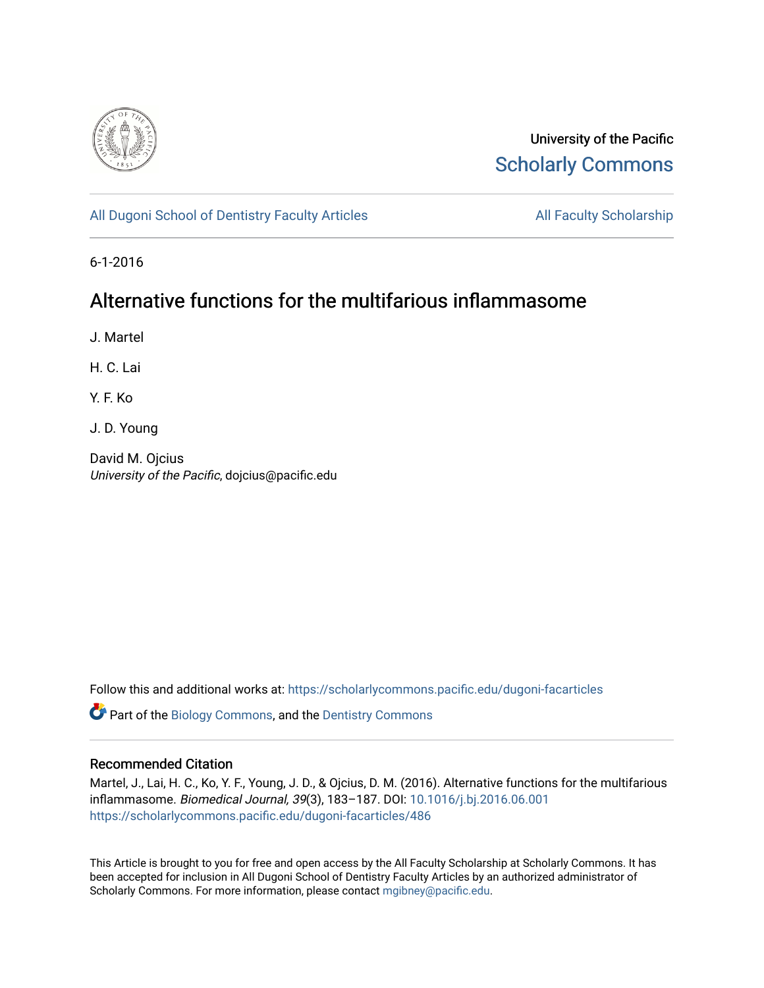

University of the Pacific [Scholarly Commons](https://scholarlycommons.pacific.edu/) 

[All Dugoni School of Dentistry Faculty Articles](https://scholarlycommons.pacific.edu/dugoni-facarticles) All Faculty Scholarship

6-1-2016

## Alternative functions for the multifarious inflammasome

J. Martel

H. C. Lai

Y. F. Ko

J. D. Young

David M. Ojcius University of the Pacific, dojcius@pacific.edu

Follow this and additional works at: [https://scholarlycommons.pacific.edu/dugoni-facarticles](https://scholarlycommons.pacific.edu/dugoni-facarticles?utm_source=scholarlycommons.pacific.edu%2Fdugoni-facarticles%2F486&utm_medium=PDF&utm_campaign=PDFCoverPages) 

**C** Part of the [Biology Commons,](http://network.bepress.com/hgg/discipline/41?utm_source=scholarlycommons.pacific.edu%2Fdugoni-facarticles%2F486&utm_medium=PDF&utm_campaign=PDFCoverPages) and the Dentistry Commons

## Recommended Citation

Martel, J., Lai, H. C., Ko, Y. F., Young, J. D., & Ojcius, D. M. (2016). Alternative functions for the multifarious inflammasome. Biomedical Journal, 39(3), 183–187. DOI: [10.1016/j.bj.2016.06.001](http://dx.doi.org/10.1016/j.bj.2016.06.001)  [https://scholarlycommons.pacific.edu/dugoni-facarticles/486](https://scholarlycommons.pacific.edu/dugoni-facarticles/486?utm_source=scholarlycommons.pacific.edu%2Fdugoni-facarticles%2F486&utm_medium=PDF&utm_campaign=PDFCoverPages) 

This Article is brought to you for free and open access by the All Faculty Scholarship at Scholarly Commons. It has been accepted for inclusion in All Dugoni School of Dentistry Faculty Articles by an authorized administrator of Scholarly Commons. For more information, please contact [mgibney@pacific.edu.](mailto:mgibney@pacific.edu)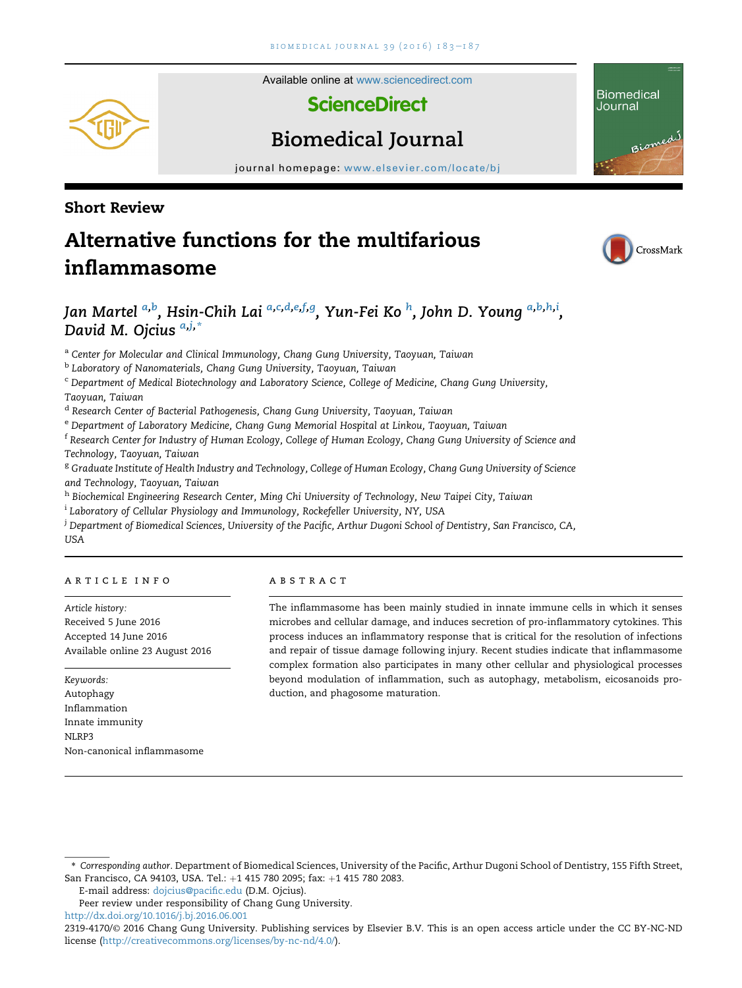Available online at [www.sciencedirect.com](www.sciencedirect.com/science/journal/23194170)

**ScienceDirect** 



# Biomedical Journal

journal homepage: www.elsevier.com/locate/bias/ $\frac{1}{2}$ 

## Short Review

# Alternative functions for the multifarious inflammasome



Biomedi

**Biomedical** Journal

## Jan Martel <sup>a,b</sup>, Hsin-Chih Lai <sup>a,c,d,e,f,g</sup>, Yun-Fei Ko <sup>h</sup>, John D. Young <sup>a,b,h,i</sup>, David M. Ojcius  $a_{ij,*}$

a Center for Molecular and Clinical Immunology, Chang Gung University, Taoyuan, Taiwan

<sup>b</sup> Laboratory of Nanomaterials, Chang Gung University, Taoyuan, Taiwan

<sup>c</sup> Department of Medical Biotechnology and Laboratory Science, College of Medicine, Chang Gung University, Taoyuan, Taiwan

<sup>d</sup> Research Center of Bacterial Pathogenesis, Chang Gung University, Taoyuan, Taiwan

e Department of Laboratory Medicine, Chang Gung Memorial Hospital at Linkou, Taoyuan, Taiwan

<sup>f</sup> Research Center for Industry of Human Ecology, College of Human Ecology, Chang Gung University of Science and Technology, Taoyuan, Taiwan

<sup>g</sup> Graduate Institute of Health Industry and Technology, College of Human Ecology, Chang Gung University of Science and Technology, Taoyuan, Taiwan

h Biochemical Engineering Research Center, Ming Chi University of Technology, New Taipei City, Taiwan

<sup>i</sup> Laboratory of Cellular Physiology and Immunology, Rockefeller University, NY, USA

 $^\mathrm{j}$  Department of Biomedical Sciences, University of the Pacific, Arthur Dugoni School of Dentistry, San Francisco, CA, USA

#### article info

Article history: Received 5 June 2016 Accepted 14 June 2016 Available online 23 August 2016

Keywords: Autophagy Inflammation Innate immunity NLRP3 Non-canonical inflammasome

#### abstract

The inflammasome has been mainly studied in innate immune cells in which it senses microbes and cellular damage, and induces secretion of pro-inflammatory cytokines. This process induces an inflammatory response that is critical for the resolution of infections and repair of tissue damage following injury. Recent studies indicate that inflammasome complex formation also participates in many other cellular and physiological processes beyond modulation of inflammation, such as autophagy, metabolism, eicosanoids production, and phagosome maturation.

E-mail address: [dojcius@pacific.edu](mailto:dojcius@pacific.edu) (D.M. Ojcius).

<sup>\*</sup> Corresponding author. Department of Biomedical Sciences, University of the Pacific, Arthur Dugoni School of Dentistry, 155 Fifth Street, San Francisco, CA 94103, USA. Tel.: +1 415 780 2095; fax: +1 415 780 2083.

Peer review under responsibility of Chang Gung University. <http://dx.doi.org/10.1016/j.bj.2016.06.001>

<sup>2319-4170/</sup>© 2016 Chang Gung University. Publishing services by Elsevier B.V. This is an open access article under the CC BY-NC-ND license [\(http://creativecommons.org/licenses/by-nc-nd/4.0/](http://creativecommons.org/licenses/by-nc-nd/4.0/)).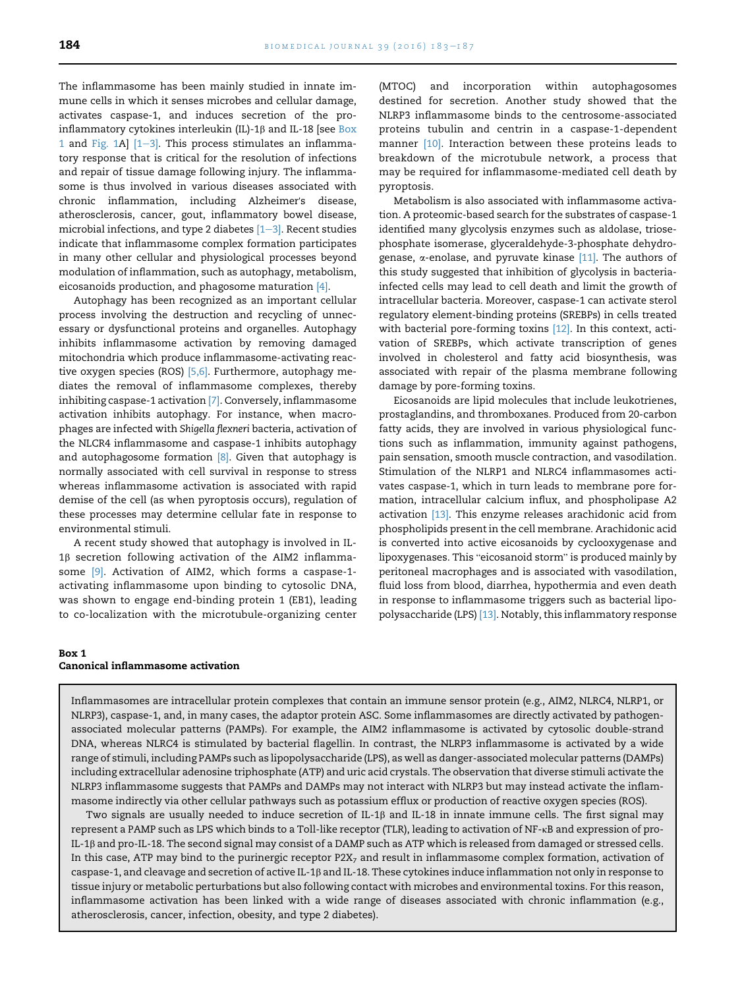The inflammasome has been mainly studied in innate immune cells in which it senses microbes and cellular damage, activates caspase-1, and induces secretion of the proinflammatory cytokines interleukin (IL)-1 $\beta$  and IL-18 [see Box 1 and [Fig. 1](#page-3-0)A]  $[1-3]$  $[1-3]$  $[1-3]$ . This process stimulates an inflammatory response that is critical for the resolution of infections and repair of tissue damage following injury. The inflammasome is thus involved in various diseases associated with chronic inflammation, including Alzheimer's disease, atherosclerosis, cancer, gout, inflammatory bowel disease, microbial infections, and type 2 diabetes  $[1-3]$  $[1-3]$ . Recent studies indicate that inflammasome complex formation participates in many other cellular and physiological processes beyond modulation of inflammation, such as autophagy, metabolism, eicosanoids production, and phagosome maturation [\[4\]](#page-4-0).

Autophagy has been recognized as an important cellular process involving the destruction and recycling of unnecessary or dysfunctional proteins and organelles. Autophagy inhibits inflammasome activation by removing damaged mitochondria which produce inflammasome-activating reactive oxygen species (ROS) [\[5,6\].](#page-4-0) Furthermore, autophagy mediates the removal of inflammasome complexes, thereby inhibiting caspase-1 activation [\[7\].](#page-4-0) Conversely, inflammasome activation inhibits autophagy. For instance, when macrophages are infected with Shigella flexneri bacteria, activation of the NLCR4 inflammasome and caspase-1 inhibits autophagy and autophagosome formation  $[8]$ . Given that autophagy is normally associated with cell survival in response to stress whereas inflammasome activation is associated with rapid demise of the cell (as when pyroptosis occurs), regulation of these processes may determine cellular fate in response to environmental stimuli.

A recent study showed that autophagy is involved in IL- $1\beta$  secretion following activation of the AIM2 inflammasome [\[9\]](#page-4-0). Activation of AIM2, which forms a caspase-1 activating inflammasome upon binding to cytosolic DNA, was shown to engage end-binding protein 1 (EB1), leading to co-localization with the microtubule-organizing center

(MTOC) and incorporation within autophagosomes destined for secretion. Another study showed that the NLRP3 inflammasome binds to the centrosome-associated proteins tubulin and centrin in a caspase-1-dependent manner [\[10\]](#page-4-0). Interaction between these proteins leads to breakdown of the microtubule network, a process that may be required for inflammasome-mediated cell death by pyroptosis.

Metabolism is also associated with inflammasome activation. A proteomic-based search for the substrates of caspase-1 identified many glycolysis enzymes such as aldolase, triosephosphate isomerase, glyceraldehyde-3-phosphate dehydrogenase,  $\alpha$ -enolase, and pyruvate kinase [\[11\]](#page-4-0). The authors of this study suggested that inhibition of glycolysis in bacteriainfected cells may lead to cell death and limit the growth of intracellular bacteria. Moreover, caspase-1 can activate sterol regulatory element-binding proteins (SREBPs) in cells treated with bacterial pore-forming toxins [\[12\].](#page-4-0) In this context, activation of SREBPs, which activate transcription of genes involved in cholesterol and fatty acid biosynthesis, was associated with repair of the plasma membrane following damage by pore-forming toxins.

Eicosanoids are lipid molecules that include leukotrienes, prostaglandins, and thromboxanes. Produced from 20-carbon fatty acids, they are involved in various physiological functions such as inflammation, immunity against pathogens, pain sensation, smooth muscle contraction, and vasodilation. Stimulation of the NLRP1 and NLRC4 inflammasomes activates caspase-1, which in turn leads to membrane pore formation, intracellular calcium influx, and phospholipase A2 activation [\[13\]](#page-4-0). This enzyme releases arachidonic acid from phospholipids present in the cell membrane. Arachidonic acid .<br>is converted into active eicosanoids by cyclooxygenase and<br>lipoxygenases. This "eicosanoid storm" is produced mainly by peritoneal macrophages and is associated with vasodilation, fluid loss from blood, diarrhea, hypothermia and even death in response to inflammasome triggers such as bacterial lipopolysaccharide (LPS) [\[13\]](#page-4-0). Notably, this inflammatory response

### Box 1 Canonical inflammasome activation

Inflammasomes are intracellular protein complexes that contain an immune sensor protein (e.g., AIM2, NLRC4, NLRP1, or NLRP3), caspase-1, and, in many cases, the adaptor protein ASC. Some inflammasomes are directly activated by pathogenassociated molecular patterns (PAMPs). For example, the AIM2 inflammasome is activated by cytosolic double-strand DNA, whereas NLRC4 is stimulated by bacterial flagellin. In contrast, the NLRP3 inflammasome is activated by a wide range of stimuli, including PAMPs such as lipopolysaccharide (LPS), as well as danger-associated molecular patterns (DAMPs) including extracellular adenosine triphosphate (ATP) and uric acid crystals. The observation that diverse stimuli activate the NLRP3 inflammasome suggests that PAMPs and DAMPs may not interact with NLRP3 but may instead activate the inflammasome indirectly via other cellular pathways such as potassium efflux or production of reactive oxygen species (ROS).

Two signals are usually needed to induce secretion of IL-1 $\beta$  and IL-18 in innate immune cells. The first signal may represent a PAMP such as LPS which binds to a Toll-like receptor (TLR), leading to activation of NF-kB and expression of pro-IL-1b and pro-IL-18. The second signal may consist of a DAMP such as ATP which is released from damaged or stressed cells. In this case, ATP may bind to the purinergic receptor P2X<sub>7</sub> and result in inflammasome complex formation, activation of caspase-1, and cleavage and secretion of active IL-1b and IL-18. These cytokines induce inflammation not only in response to tissue injury or metabolic perturbations but also following contact with microbes and environmental toxins. For this reason, inflammasome activation has been linked with a wide range of diseases associated with chronic inflammation (e.g., atherosclerosis, cancer, infection, obesity, and type 2 diabetes).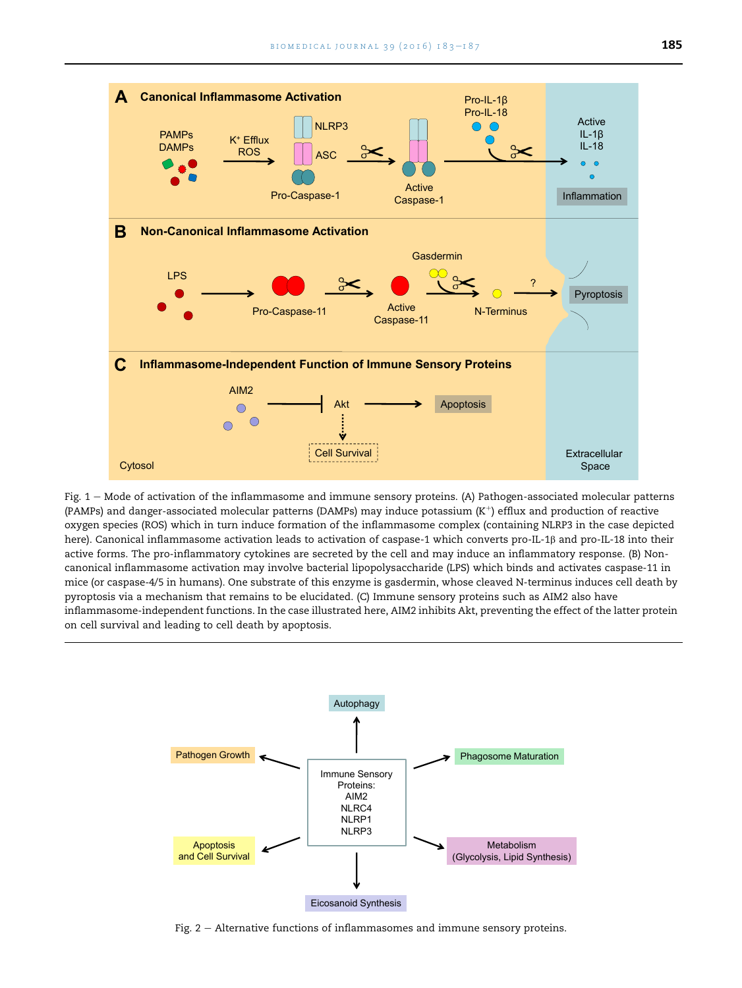<span id="page-3-0"></span>

Fig.  $1 -$  Mode of activation of the inflammasome and immune sensory proteins. (A) Pathogen-associated molecular patterns (PAMPs) and danger-associated molecular patterns (DAMPs) may induce potassium  $(K^+)$  efflux and production of reactive oxygen species (ROS) which in turn induce formation of the inflammasome complex (containing NLRP3 in the case depicted here). Canonical inflammasome activation leads to activation of caspase-1 which converts pro-IL-1ß and pro-IL-18 into their active forms. The pro-inflammatory cytokines are secreted by the cell and may induce an inflammatory response. (B) Noncanonical inflammasome activation may involve bacterial lipopolysaccharide (LPS) which binds and activates caspase-11 in mice (or caspase-4/5 in humans). One substrate of this enzyme is gasdermin, whose cleaved N-terminus induces cell death by pyroptosis via a mechanism that remains to be elucidated. (C) Immune sensory proteins such as AIM2 also have inflammasome-independent functions. In the case illustrated here, AIM2 inhibits Akt, preventing the effect of the latter protein on cell survival and leading to cell death by apoptosis.



Fig.  $2 -$  Alternative functions of inflammasomes and immune sensory proteins.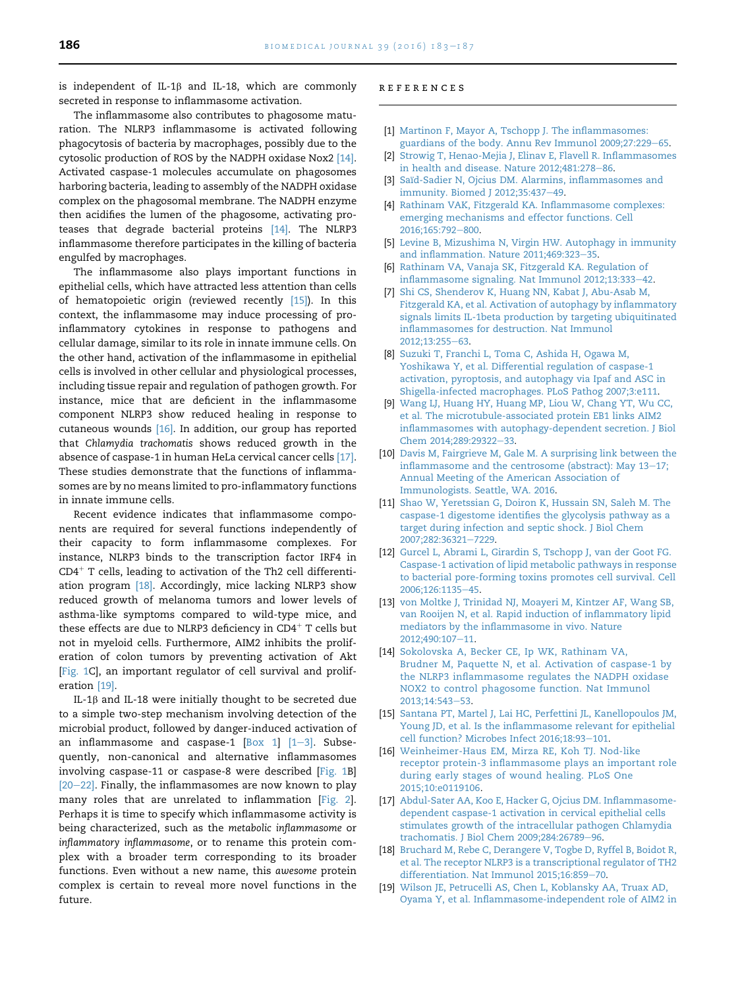<span id="page-4-0"></span>is independent of IL-1 $\beta$  and IL-18, which are commonly secreted in response to inflammasome activation.

The inflammasome also contributes to phagosome maturation. The NLRP3 inflammasome is activated following phagocytosis of bacteria by macrophages, possibly due to the cytosolic production of ROS by the NADPH oxidase Nox2 [14]. Activated caspase-1 molecules accumulate on phagosomes harboring bacteria, leading to assembly of the NADPH oxidase complex on the phagosomal membrane. The NADPH enzyme then acidifies the lumen of the phagosome, activating proteases that degrade bacterial proteins [14]. The NLRP3 inflammasome therefore participates in the killing of bacteria engulfed by macrophages.

The inflammasome also plays important functions in epithelial cells, which have attracted less attention than cells of hematopoietic origin (reviewed recently [15]). In this context, the inflammasome may induce processing of proinflammatory cytokines in response to pathogens and cellular damage, similar to its role in innate immune cells. On the other hand, activation of the inflammasome in epithelial cells is involved in other cellular and physiological processes, including tissue repair and regulation of pathogen growth. For instance, mice that are deficient in the inflammasome component NLRP3 show reduced healing in response to cutaneous wounds [16]. In addition, our group has reported that Chlamydia trachomatis shows reduced growth in the absence of caspase-1 in human HeLa cervical cancer cells [17]. These studies demonstrate that the functions of inflammasomes are by no means limited to pro-inflammatory functions in innate immune cells.

Recent evidence indicates that inflammasome components are required for several functions independently of their capacity to form inflammasome complexes. For instance, NLRP3 binds to the transcription factor IRF4 in  $CD4<sup>+</sup>$  T cells, leading to activation of the Th2 cell differentiation program [18]. Accordingly, mice lacking NLRP3 show reduced growth of melanoma tumors and lower levels of asthma-like symptoms compared to wild-type mice, and these effects are due to NLRP3 deficiency in  $CD4^+$  T cells but not in myeloid cells. Furthermore, AIM2 inhibits the proliferation of colon tumors by preventing activation of Akt [[Fig. 1](#page-3-0)C], an important regulator of cell survival and proliferation [19].

IL-1 $\beta$  and IL-18 were initially thought to be secreted due to a simple two-step mechanism involving detection of the microbial product, followed by danger-induced activation of an inflammasome and caspase-1  $[Box 1]$   $[1-3]$ . Subsequently, non-canonical and alternative inflammasomes involving caspase-11 or caspase-8 were described [[Fig. 1B](#page-3-0)]  $[20-22]$  $[20-22]$  $[20-22]$ . Finally, the inflammasomes are now known to play many roles that are unrelated to inflammation [[Fig. 2\]](#page-3-0). Perhaps it is time to specify which inflammasome activity is being characterized, such as the metabolic inflammasome or inflammatory inflammasome, or to rename this protein complex with a broader term corresponding to its broader functions. Even without a new name, this awesome protein complex is certain to reveal more novel functions in the future.

#### references

- [1] [Martinon F, Mayor A, Tschopp J. The inflammasomes:](http://refhub.elsevier.com/S2319-4170(16)30122-6/sref1) [guardians of the body. Annu Rev Immunol 2009;27:229](http://refhub.elsevier.com/S2319-4170(16)30122-6/sref1)-[65.](http://refhub.elsevier.com/S2319-4170(16)30122-6/sref1)
- [2] [Strowig T, Henao-Mejia J, Elinav E, Flavell R. Inflammasomes](http://refhub.elsevier.com/S2319-4170(16)30122-6/sref2) in health and disease. Nature  $2012;481:278-86$  $2012;481:278-86$ .
- [3] Saïd-Sadier N, Ojcius DM. Alarmins, inflammasomes and [immunity. Biomed J 2012;35:437](http://refhub.elsevier.com/S2319-4170(16)30122-6/sref3)-[49.](http://refhub.elsevier.com/S2319-4170(16)30122-6/sref3)
- [4] [Rathinam VAK, Fitzgerald KA. Inflammasome complexes:](http://refhub.elsevier.com/S2319-4170(16)30122-6/sref4) [emerging mechanisms and effector functions. Cell](http://refhub.elsevier.com/S2319-4170(16)30122-6/sref4) 2016:165:792-[800.](http://refhub.elsevier.com/S2319-4170(16)30122-6/sref4)
- [5] [Levine B, Mizushima N, Virgin HW. Autophagy in immunity](http://refhub.elsevier.com/S2319-4170(16)30122-6/sref5) and inflammation. Nature  $2011;469:323-35$ .
- [6] [Rathinam VA, Vanaja SK, Fitzgerald KA. Regulation of](http://refhub.elsevier.com/S2319-4170(16)30122-6/sref6) [inflammasome signaling. Nat Immunol 2012;13:333](http://refhub.elsevier.com/S2319-4170(16)30122-6/sref6)-[42](http://refhub.elsevier.com/S2319-4170(16)30122-6/sref6).
- [7] [Shi CS, Shenderov K, Huang NN, Kabat J, Abu-Asab M,](http://refhub.elsevier.com/S2319-4170(16)30122-6/sref7) [Fitzgerald KA, et al. Activation of autophagy by inflammatory](http://refhub.elsevier.com/S2319-4170(16)30122-6/sref7) [signals limits IL-1beta production by targeting ubiquitinated](http://refhub.elsevier.com/S2319-4170(16)30122-6/sref7) [inflammasomes for destruction. Nat Immunol](http://refhub.elsevier.com/S2319-4170(16)30122-6/sref7) [2012;13:255](http://refhub.elsevier.com/S2319-4170(16)30122-6/sref7)-[63](http://refhub.elsevier.com/S2319-4170(16)30122-6/sref7).
- [8] [Suzuki T, Franchi L, Toma C, Ashida H, Ogawa M,](http://refhub.elsevier.com/S2319-4170(16)30122-6/sref8) [Yoshikawa Y, et al. Differential regulation of caspase-1](http://refhub.elsevier.com/S2319-4170(16)30122-6/sref8) [activation, pyroptosis, and autophagy via Ipaf and ASC in](http://refhub.elsevier.com/S2319-4170(16)30122-6/sref8) [Shigella-infected macrophages. PLoS Pathog 2007;3:e111.](http://refhub.elsevier.com/S2319-4170(16)30122-6/sref8)
- [9] [Wang LJ, Huang HY, Huang MP, Liou W, Chang YT, Wu CC,](http://refhub.elsevier.com/S2319-4170(16)30122-6/sref9) [et al. The microtubule-associated protein EB1 links AIM2](http://refhub.elsevier.com/S2319-4170(16)30122-6/sref9) [inflammasomes with autophagy-dependent secretion. J Biol](http://refhub.elsevier.com/S2319-4170(16)30122-6/sref9) [Chem 2014;289:29322](http://refhub.elsevier.com/S2319-4170(16)30122-6/sref9)-[33.](http://refhub.elsevier.com/S2319-4170(16)30122-6/sref9)
- [10] [Davis M, Fairgrieve M, Gale M. A surprising link between the](http://refhub.elsevier.com/S2319-4170(16)30122-6/sref10) inflammasome and the centrosome (abstract): May  $13-17$ ; [Annual Meeting of the American Association of](http://refhub.elsevier.com/S2319-4170(16)30122-6/sref10) [Immunologists. Seattle, WA. 2016](http://refhub.elsevier.com/S2319-4170(16)30122-6/sref10).
- [11] [Shao W, Yeretssian G, Doiron K, Hussain SN, Saleh M. The](http://refhub.elsevier.com/S2319-4170(16)30122-6/sref11) [caspase-1 digestome identifies the glycolysis pathway as a](http://refhub.elsevier.com/S2319-4170(16)30122-6/sref11) [target during infection and septic shock. J Biol Chem](http://refhub.elsevier.com/S2319-4170(16)30122-6/sref11) [2007;282:36321](http://refhub.elsevier.com/S2319-4170(16)30122-6/sref11)-[7229](http://refhub.elsevier.com/S2319-4170(16)30122-6/sref11).
- [12] [Gurcel L, Abrami L, Girardin S, Tschopp J, van der Goot FG.](http://refhub.elsevier.com/S2319-4170(16)30122-6/sref12) [Caspase-1 activation of lipid metabolic pathways in response](http://refhub.elsevier.com/S2319-4170(16)30122-6/sref12) [to bacterial pore-forming toxins promotes cell survival. Cell](http://refhub.elsevier.com/S2319-4170(16)30122-6/sref12) [2006;126:1135](http://refhub.elsevier.com/S2319-4170(16)30122-6/sref12)-[45.](http://refhub.elsevier.com/S2319-4170(16)30122-6/sref12)
- [13] [von Moltke J, Trinidad NJ, Moayeri M, Kintzer AF, Wang SB,](http://refhub.elsevier.com/S2319-4170(16)30122-6/sref13) [van Rooijen N, et al. Rapid induction of inflammatory lipid](http://refhub.elsevier.com/S2319-4170(16)30122-6/sref13) [mediators by the inflammasome in vivo. Nature](http://refhub.elsevier.com/S2319-4170(16)30122-6/sref13) [2012;490:107](http://refhub.elsevier.com/S2319-4170(16)30122-6/sref13)-[11.](http://refhub.elsevier.com/S2319-4170(16)30122-6/sref13)
- [14] [Sokolovska A, Becker CE, Ip WK, Rathinam VA,](http://refhub.elsevier.com/S2319-4170(16)30122-6/sref14) [Brudner M, Paquette N, et al. Activation of caspase-1 by](http://refhub.elsevier.com/S2319-4170(16)30122-6/sref14) [the NLRP3 inflammasome regulates the NADPH oxidase](http://refhub.elsevier.com/S2319-4170(16)30122-6/sref14) [NOX2 to control phagosome function. Nat Immunol](http://refhub.elsevier.com/S2319-4170(16)30122-6/sref14) [2013;14:543](http://refhub.elsevier.com/S2319-4170(16)30122-6/sref14)-[53](http://refhub.elsevier.com/S2319-4170(16)30122-6/sref14).
- [15] [Santana PT, Martel J, Lai HC, Perfettini JL, Kanellopoulos JM,](http://refhub.elsevier.com/S2319-4170(16)30122-6/sref15) [Young JD, et al. Is the inflammasome relevant for epithelial](http://refhub.elsevier.com/S2319-4170(16)30122-6/sref15) [cell function? Microbes Infect 2016;18:93](http://refhub.elsevier.com/S2319-4170(16)30122-6/sref15)-[101](http://refhub.elsevier.com/S2319-4170(16)30122-6/sref15).
- [16] [Weinheimer-Haus EM, Mirza RE, Koh TJ. Nod-like](http://refhub.elsevier.com/S2319-4170(16)30122-6/sref16) [receptor protein-3 inflammasome plays an important role](http://refhub.elsevier.com/S2319-4170(16)30122-6/sref16) [during early stages of wound healing. PLoS One](http://refhub.elsevier.com/S2319-4170(16)30122-6/sref16) [2015;10:e0119106.](http://refhub.elsevier.com/S2319-4170(16)30122-6/sref16)
- [17] [Abdul-Sater AA, Koo E, Hacker G, Ojcius DM. Inflammasome](http://refhub.elsevier.com/S2319-4170(16)30122-6/sref17)[dependent caspase-1 activation in cervical epithelial cells](http://refhub.elsevier.com/S2319-4170(16)30122-6/sref17) [stimulates growth of the intracellular pathogen Chlamydia](http://refhub.elsevier.com/S2319-4170(16)30122-6/sref17) [trachomatis. J Biol Chem 2009;284:26789](http://refhub.elsevier.com/S2319-4170(16)30122-6/sref17)-[96](http://refhub.elsevier.com/S2319-4170(16)30122-6/sref17).
- [18] [Bruchard M, Rebe C, Derangere V, Togbe D, Ryffel B, Boidot R,](http://refhub.elsevier.com/S2319-4170(16)30122-6/sref18) [et al. The receptor NLRP3 is a transcriptional regulator of TH2](http://refhub.elsevier.com/S2319-4170(16)30122-6/sref18) [differentiation. Nat Immunol 2015;16:859](http://refhub.elsevier.com/S2319-4170(16)30122-6/sref18)-[70](http://refhub.elsevier.com/S2319-4170(16)30122-6/sref18).
- [19] [Wilson JE, Petrucelli AS, Chen L, Koblansky AA, Truax AD,](http://refhub.elsevier.com/S2319-4170(16)30122-6/sref19) [Oyama Y, et al. Inflammasome-independent role of AIM2 in](http://refhub.elsevier.com/S2319-4170(16)30122-6/sref19)